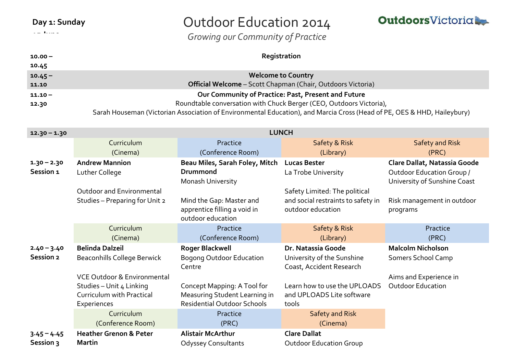**15 June**

# Outdoor Education 2014

*Growing our Community of Practice*

**OutdoorsVictoria** 

| $10.00 -$ | Registration                                                                                                            |
|-----------|-------------------------------------------------------------------------------------------------------------------------|
| 10.45     |                                                                                                                         |
| $10.45 -$ | <b>Welcome to Country</b>                                                                                               |
| 11.10     | <b>Official Welcome</b> – Scott Chapman (Chair, Outdoors Victoria)                                                      |
| $11.10 -$ | Our Community of Practice: Past, Present and Future                                                                     |
| 12.30     | Roundtable conversation with Chuck Berger (CEO, Outdoors Victoria),                                                     |
|           | Sarah Houseman (Victorian Association of Environmental Education), and Marcia Cross (Head of PE, OES & HHD, Haileybury) |

| $12.30 - 1.30$             | <b>LUNCH</b>                                                                                        |                                                                                                    |                                                                                          |                                                                                                  |
|----------------------------|-----------------------------------------------------------------------------------------------------|----------------------------------------------------------------------------------------------------|------------------------------------------------------------------------------------------|--------------------------------------------------------------------------------------------------|
|                            | Curriculum<br>(Cinema)                                                                              | Practice<br>(Conference Room)                                                                      | Safety & Risk<br>(Library)                                                               | <b>Safety and Risk</b><br>(PRC)                                                                  |
| $1.30 - 2.30$<br>Session 1 | <b>Andrew Mannion</b><br>Luther College                                                             | Beau Miles, Sarah Foley, Mitch<br><b>Drummond</b><br>Monash University                             | <b>Lucas Bester</b><br>La Trobe University                                               | Clare Dallat, Natassia Goode<br><b>Outdoor Education Group /</b><br>University of Sunshine Coast |
|                            | Outdoor and Environmental<br>Studies - Preparing for Unit 2                                         | Mind the Gap: Master and<br>apprentice filling a void in<br>outdoor education                      | Safety Limited: The political<br>and social restraints to safety in<br>outdoor education | Risk management in outdoor<br>programs                                                           |
|                            | Curriculum<br>(Cinema)                                                                              | Practice<br>(Conference Room)                                                                      | Safety & Risk<br>(Library)                                                               | Practice<br>(PRC)                                                                                |
| $2.40 - 3.40$              | <b>Belinda Dalzeil</b>                                                                              | <b>Roger Blackwell</b>                                                                             | Dr. Natassia Goode                                                                       | <b>Malcolm Nicholson</b>                                                                         |
| Session 2                  | Beaconhills College Berwick                                                                         | <b>Bogong Outdoor Education</b><br>Centre                                                          | University of the Sunshine<br>Coast, Accident Research                                   | Somers School Camp                                                                               |
|                            | VCE Outdoor & Environmental<br>Studies - Unit 4 Linking<br>Curriculum with Practical<br>Experiences | Concept Mapping: A Tool for<br>Measuring Student Learning in<br><b>Residential Outdoor Schools</b> | Learn how to use the UPLOADS<br>and UPLOADS Lite software<br>tools                       | Aims and Experience in<br><b>Outdoor Education</b>                                               |
|                            | Curriculum<br>(Conference Room)                                                                     | Practice<br>(PRC)                                                                                  | <b>Safety and Risk</b><br>(Cinema)                                                       |                                                                                                  |
| $3.45 - 4.45$<br>Session 3 | <b>Heather Grenon &amp; Peter</b><br><b>Martin</b>                                                  | <b>Alistair McArthur</b><br><b>Odyssey Consultants</b>                                             | <b>Clare Dallat</b><br><b>Outdoor Education Group</b>                                    |                                                                                                  |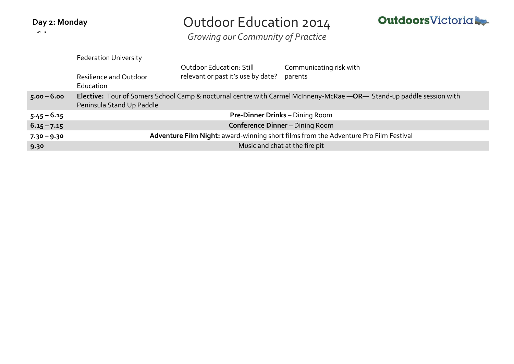| Day 2: Monday |  |
|---------------|--|
|---------------|--|

**16 June**

## Outdoor Education 2014

**OutdoorsVictoria** 

*Growing our Community of Practice*

|               | <b>Federation University</b>                                                                                                                      |                                                                       |                                    |  |
|---------------|---------------------------------------------------------------------------------------------------------------------------------------------------|-----------------------------------------------------------------------|------------------------------------|--|
|               | Resilience and Outdoor<br>Education                                                                                                               | <b>Outdoor Education: Still</b><br>relevant or past it's use by date? | Communicating risk with<br>parents |  |
| $5.00 - 6.00$ | Elective: Tour of Somers School Camp & nocturnal centre with Carmel McInneny-McRae -OR- Stand-up paddle session with<br>Peninsula Stand Up Paddle |                                                                       |                                    |  |
| $5.45 - 6.15$ | <b>Pre-Dinner Drinks</b> – Dining Room                                                                                                            |                                                                       |                                    |  |
| $6.15 - 7.15$ | <b>Conference Dinner - Dining Room</b>                                                                                                            |                                                                       |                                    |  |
| $7.30 - 9.30$ | Adventure Film Night: award-winning short films from the Adventure Pro Film Festival                                                              |                                                                       |                                    |  |
| 9.30          | Music and chat at the fire pit                                                                                                                    |                                                                       |                                    |  |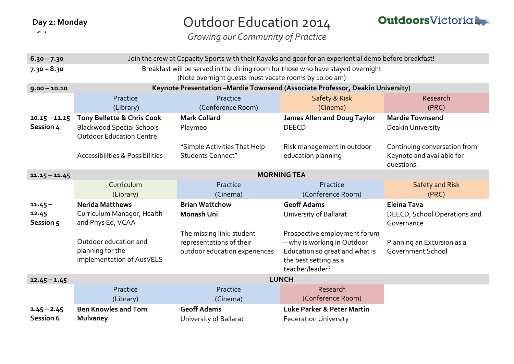|  | Day 2: Monday |
|--|---------------|
|--|---------------|

**16 June**

# Outdoor Education 2014

*Growing our Community of Practice*



| $6.30 - 7.30$                     | Join the crew at Capacity Sports with their Kayaks and gear for an experiential demo before breakfast! |                                                                                        |                                                                                                                                           |                                                                         |
|-----------------------------------|--------------------------------------------------------------------------------------------------------|----------------------------------------------------------------------------------------|-------------------------------------------------------------------------------------------------------------------------------------------|-------------------------------------------------------------------------|
| $7.30 - 8.30$                     | Breakfast will be served in the dining room for those who have stayed overnight                        |                                                                                        |                                                                                                                                           |                                                                         |
|                                   | (Note overnight guests must vacate rooms by 10.00 am)                                                  |                                                                                        |                                                                                                                                           |                                                                         |
| $9.00 - 10.10$                    | Keynote Presentation - Mardie Townsend (Associate Professor, Deakin University)                        |                                                                                        |                                                                                                                                           |                                                                         |
|                                   | Practice                                                                                               | Practice                                                                               | Safety & Risk                                                                                                                             | Research                                                                |
|                                   | (Library)                                                                                              | (Conference Room)                                                                      | (Cinema)                                                                                                                                  | (PRC)                                                                   |
| $10.15 - 11.15$                   | Tony Bellette & Chris Cook                                                                             | <b>Mark Collard</b>                                                                    | <b>James Allen and Doug Taylor</b>                                                                                                        | <b>Mardie Townsend</b>                                                  |
| Session 4                         | <b>Blackwood Special Schools</b><br><b>Outdoor Education Centre</b>                                    | Playmeo                                                                                | <b>DEECD</b>                                                                                                                              | Deakin University                                                       |
|                                   | <b>Accessibilities &amp; Possibilities</b>                                                             | "Simple Activities That Help<br><b>Students Connect"</b>                               | Risk management in outdoor<br>education planning                                                                                          | Continuing conversation from<br>Keynote and available for<br>questions. |
| $11.15 - 11.45$                   | <b>MORNING TEA</b>                                                                                     |                                                                                        |                                                                                                                                           |                                                                         |
|                                   | Curriculum                                                                                             | Practice                                                                               | Practice                                                                                                                                  | <b>Safety and Risk</b>                                                  |
|                                   |                                                                                                        |                                                                                        |                                                                                                                                           |                                                                         |
|                                   | (Library)                                                                                              | (Cinema)                                                                               | (Conference Room)                                                                                                                         | (PRC)                                                                   |
| $11.45 -$<br>12.45<br>Session 5   | <b>Nerida Matthews</b><br>Curriculum Manager, Health<br>and Phys Ed, VCAA                              | <b>Brian Wattchow</b><br><b>Monash Uni</b>                                             | <b>Geoff Adams</b><br>University of Ballarat                                                                                              | <b>Eleina Tava</b><br>DEECD, School Operations and<br>Governance        |
|                                   | Outdoor education and<br>planning for the<br>implementation of AusVELS                                 | The missing link: student<br>representations of their<br>outdoor education experiences | Prospective employment forum<br>- why is working in Outdoor<br>Education so great and what is<br>the best setting as a<br>teacher/leader? | Planning an Excursion as a<br><b>Government School</b>                  |
| $12.45 - 1.45$                    |                                                                                                        |                                                                                        | <b>LUNCH</b>                                                                                                                              |                                                                         |
|                                   | Practice<br>(Library)                                                                                  | Practice<br>(Cinema)                                                                   | Research<br>(Conference Room)                                                                                                             |                                                                         |
| $1.45 - 2.45$<br><b>Session 6</b> | <b>Ben Knowles and Tom</b><br><b>Mulvaney</b>                                                          | <b>Geoff Adams</b><br>University of Ballarat                                           | Luke Parker & Peter Martin                                                                                                                |                                                                         |